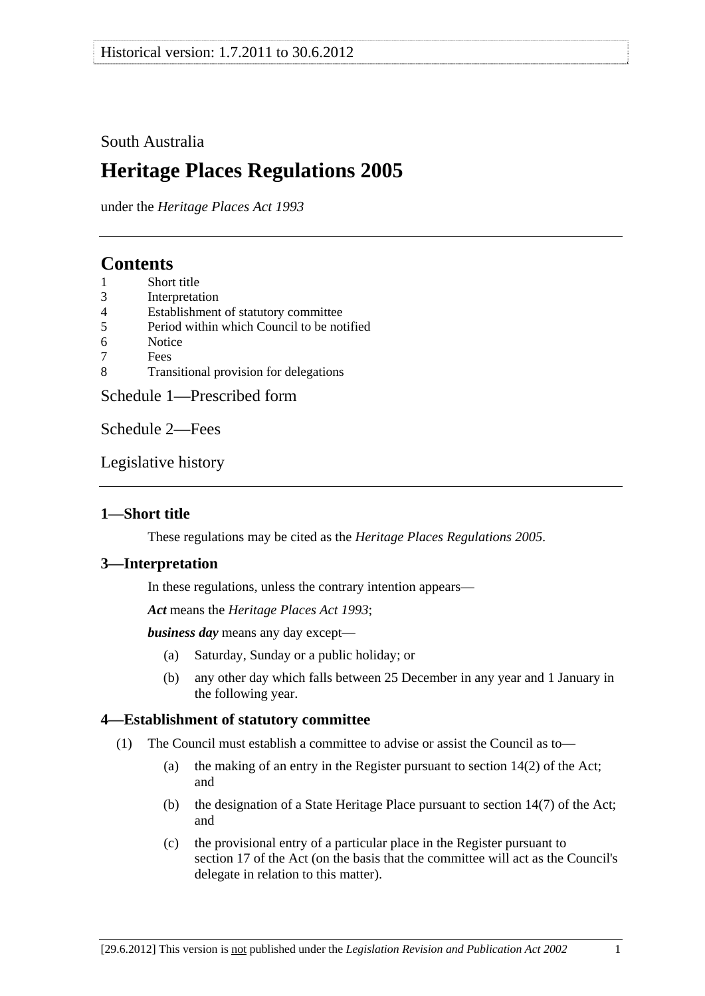## <span id="page-0-0"></span>South Australia

# **Heritage Places Regulations 2005**

under the *Heritage Places Act 1993*

# **Contents**

- [1 Short title](#page-0-0)
- [3 Interpretation](#page-0-0)
- [4 Establishment of statutory committee](#page-0-0)
- [5 Period within which Council to be notified](#page-1-0)
- [6 Notice](#page-1-0)
- [7 Fees](#page-1-0)
- [8 Transitional provision for delegations](#page-1-0)

[Schedule 1—Prescribed form](#page-2-0) 

[Schedule 2—Fees](#page-4-0) 

[Legislative history](#page-6-0) 

## **1—Short title**

These regulations may be cited as the *Heritage Places Regulations 2005*.

### **3—Interpretation**

In these regulations, unless the contrary intention appears—

*Act* means the *[Heritage Places Act 1993](http://www.legislation.sa.gov.au/index.aspx?action=legref&type=act&legtitle=Heritage%20Places%20Act%201993)*;

*business day* means any day except—

- (a) Saturday, Sunday or a public holiday; or
- (b) any other day which falls between 25 December in any year and 1 January in the following year.

## **4—Establishment of statutory committee**

- (1) The Council must establish a committee to advise or assist the Council as to—
	- (a) the making of an entry in the Register pursuant to section 14(2) of the Act; and
	- (b) the designation of a State Heritage Place pursuant to section 14(7) of the Act; and
	- (c) the provisional entry of a particular place in the Register pursuant to section 17 of the Act (on the basis that the committee will act as the Council's delegate in relation to this matter).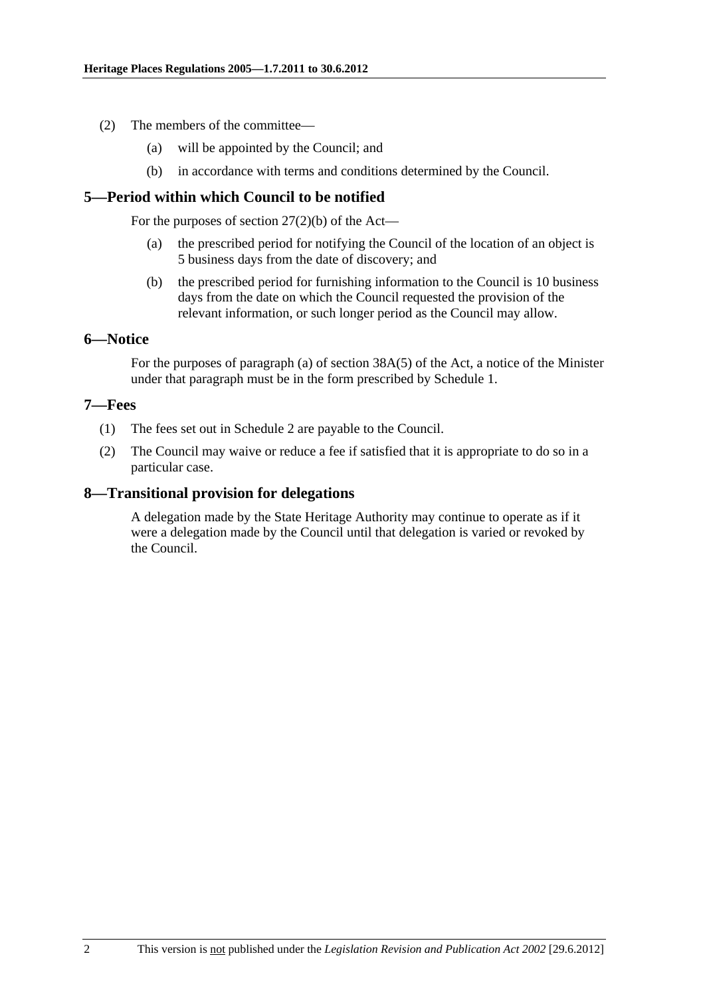- <span id="page-1-0"></span> (2) The members of the committee—
	- (a) will be appointed by the Council; and
	- (b) in accordance with terms and conditions determined by the Council.

### **5—Period within which Council to be notified**

For the purposes of section  $27(2)(b)$  of the Act—

- (a) the prescribed period for notifying the Council of the location of an object is 5 business days from the date of discovery; and
- (b) the prescribed period for furnishing information to the Council is 10 business days from the date on which the Council requested the provision of the relevant information, or such longer period as the Council may allow.

### **6—Notice**

For the purposes of paragraph (a) of section 38A(5) of the Act, a notice of the Minister under that paragraph must be in the form prescribed by [Schedule 1.](#page-2-0)

### **7—Fees**

- (1) The fees set out in [Schedule 2](#page-4-0) are payable to the Council.
- (2) The Council may waive or reduce a fee if satisfied that it is appropriate to do so in a particular case.

### **8—Transitional provision for delegations**

A delegation made by the State Heritage Authority may continue to operate as if it were a delegation made by the Council until that delegation is varied or revoked by the Council.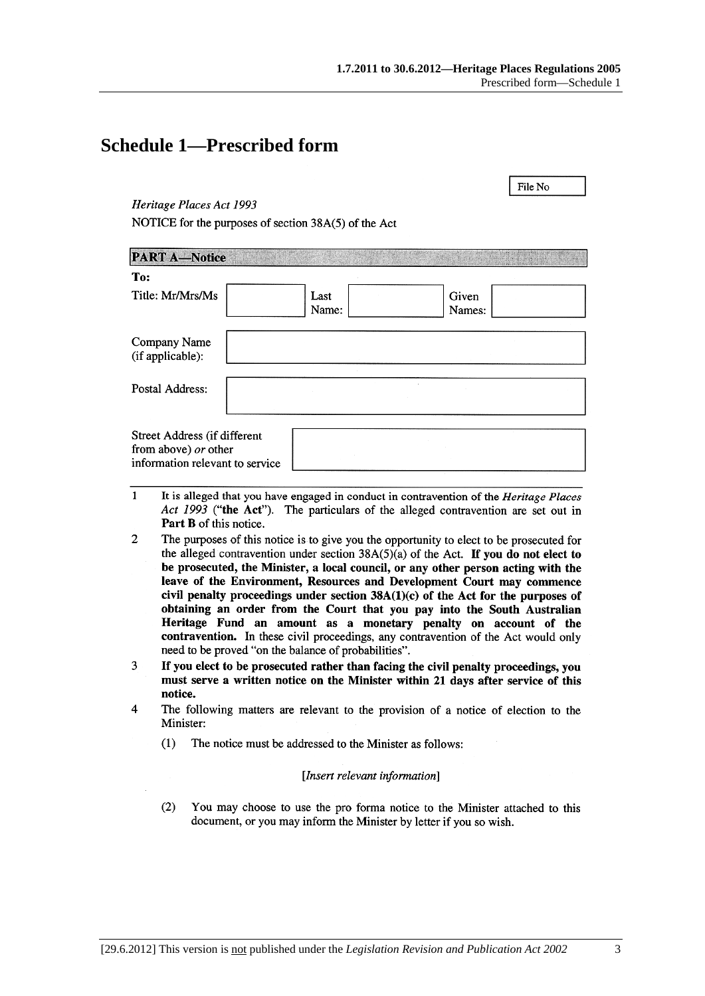File No

# <span id="page-2-0"></span>**Schedule 1—Prescribed form**

#### Heritage Places Act 1993

NOTICE for the purposes of section 38A(5) of the Act

| <b>PART A-Notice</b>                                                                    |               |                 |  |
|-----------------------------------------------------------------------------------------|---------------|-----------------|--|
| To:                                                                                     |               |                 |  |
| Title: Mr/Mrs/Ms                                                                        | Last<br>Name: | Given<br>Names: |  |
| Company Name<br>(if applicable):                                                        |               |                 |  |
| Postal Address:                                                                         |               |                 |  |
| Street Address (if different<br>from above) or other<br>information relevant to service |               |                 |  |

- $\mathbf{1}$ It is alleged that you have engaged in conduct in contravention of the *Heritage Places* Act 1993 ("the Act"). The particulars of the alleged contravention are set out in Part B of this notice.
- $\overline{2}$ The purposes of this notice is to give you the opportunity to elect to be prosecuted for the alleged contravention under section  $38A(5)(a)$  of the Act. If you do not elect to be prosecuted, the Minister, a local council, or any other person acting with the leave of the Environment, Resources and Development Court may commence civil penalty proceedings under section  $38A(1)(c)$  of the Act for the purposes of obtaining an order from the Court that you pay into the South Australian Heritage Fund an amount as a monetary penalty on account of the contravention. In these civil proceedings, any contravention of the Act would only need to be proved "on the balance of probabilities".
- If you elect to be prosecuted rather than facing the civil penalty proceedings, you 3 must serve a written notice on the Minister within 21 days after service of this notice.
- $\overline{A}$ The following matters are relevant to the provision of a notice of election to the Minister:
	- $(1)$ The notice must be addressed to the Minister as follows:

#### [Insert relevant information]

 $(2)$ You may choose to use the pro forma notice to the Minister attached to this document, or you may inform the Minister by letter if you so wish.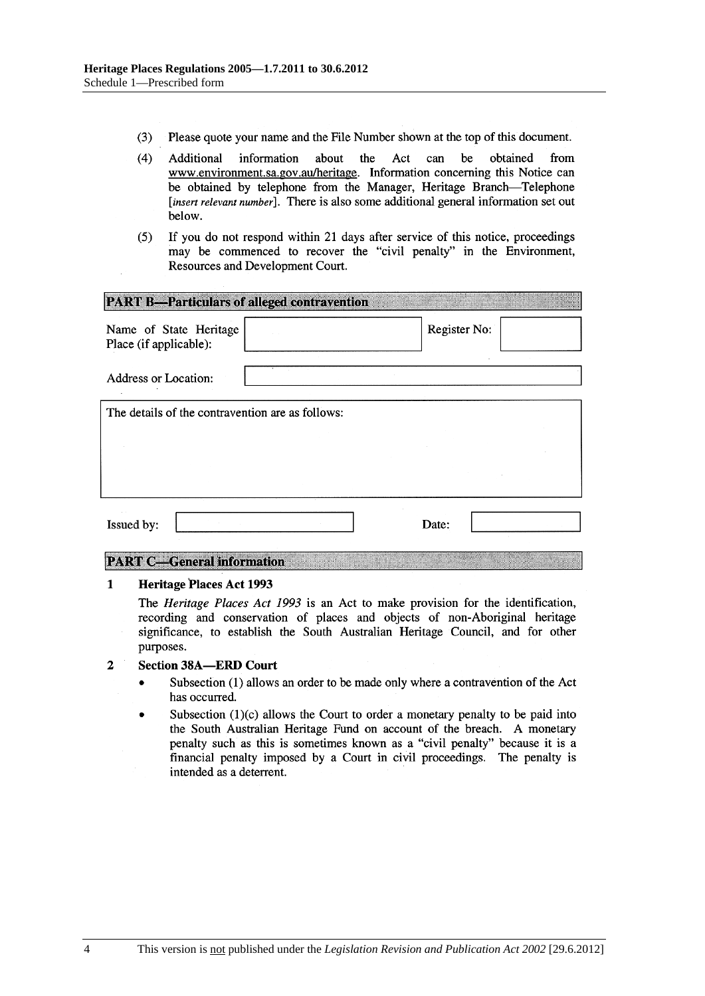- $(3)$ Please quote your name and the File Number shown at the top of this document.
- $(4)$ be Additional information about the Act can obtained from www.environment.sa.gov.au/heritage. Information concerning this Notice can be obtained by telephone from the Manager, Heritage Branch-Telephone [insert relevant number]. There is also some additional general information set out below.
- If you do not respond within 21 days after service of this notice, proceedings  $(5)$ may be commenced to recover the "civil penalty" in the Environment, Resources and Development Court.

| <b>PART B-Particulars of alleged contravention</b> |  |              |  |  |  |
|----------------------------------------------------|--|--------------|--|--|--|
| Name of State Heritage<br>Place (if applicable):   |  | Register No: |  |  |  |
| <b>Address or Location:</b>                        |  |              |  |  |  |
| The details of the contravention are as follows:   |  |              |  |  |  |
|                                                    |  |              |  |  |  |
|                                                    |  |              |  |  |  |
| Issued by:                                         |  | Date:        |  |  |  |

#### **PART C-General information**

#### $\mathbf{1}$ **Heritage Places Act 1993**

The Heritage Places Act 1993 is an Act to make provision for the identification, recording and conservation of places and objects of non-Aboriginal heritage significance, to establish the South Australian Heritage Council, and for other purposes.

#### $\overline{2}$ **Section 38A-ERD Court**

- Subsection (1) allows an order to be made only where a contravention of the Act has occurred.
- Subsection  $(1)(c)$  allows the Court to order a monetary penalty to be paid into the South Australian Heritage Fund on account of the breach. A monetary penalty such as this is sometimes known as a "civil penalty" because it is a financial penalty imposed by a Court in civil proceedings. The penalty is intended as a deterrent.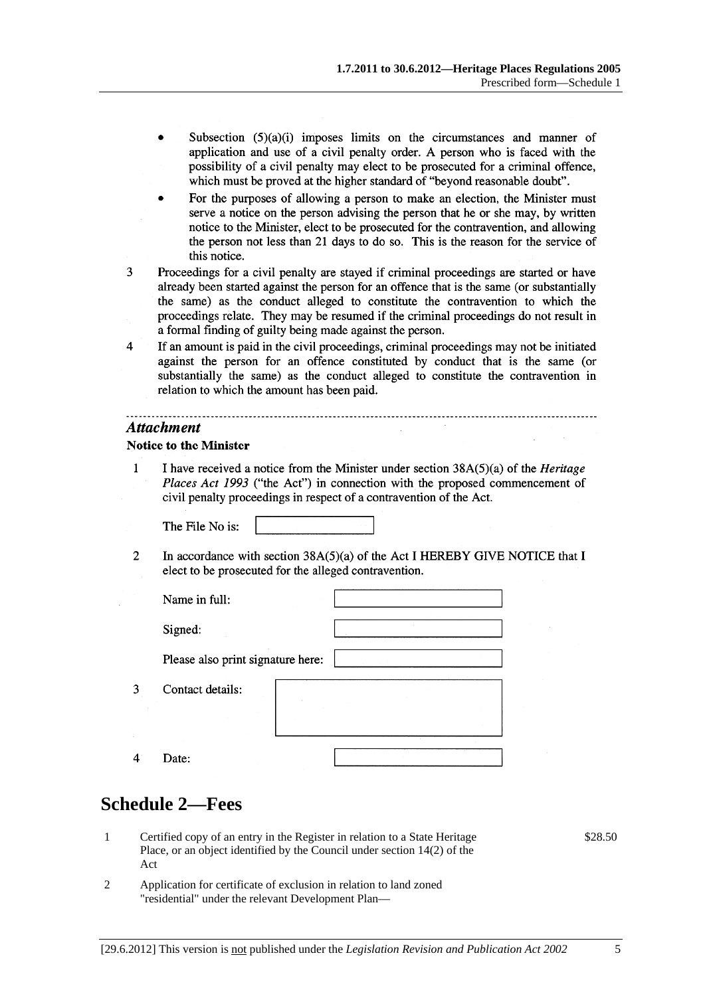- <span id="page-4-0"></span>Subsection  $(5)(a)(i)$  imposes limits on the circumstances and manner of application and use of a civil penalty order. A person who is faced with the possibility of a civil penalty may elect to be prosecuted for a criminal offence, which must be proved at the higher standard of "beyond reasonable doubt".
- For the purposes of allowing a person to make an election, the Minister must serve a notice on the person advising the person that he or she may, by written notice to the Minister, elect to be prosecuted for the contravention, and allowing the person not less than 21 days to do so. This is the reason for the service of this notice.
- 3 Proceedings for a civil penalty are stayed if criminal proceedings are started or have already been started against the person for an offence that is the same (or substantially the same) as the conduct alleged to constitute the contravention to which the proceedings relate. They may be resumed if the criminal proceedings do not result in a formal finding of guilty being made against the person.
- $\overline{4}$ If an amount is paid in the civil proceedings, criminal proceedings may not be initiated against the person for an offence constituted by conduct that is the same (or substantially the same) as the conduct alleged to constitute the contravention in relation to which the amount has been paid.

#### **Attachment**

#### **Notice to the Minister**

 $\mathbf{1}$ I have received a notice from the Minister under section  $38A(5)(a)$  of the *Heritage* Places Act 1993 ("the Act") in connection with the proposed commencement of civil penalty proceedings in respect of a contravention of the Act.

The File No is:

 $\mathcal{L}$ In accordance with section  $38A(5)(a)$  of the Act I HEREBY GIVE NOTICE that I elect to be prosecuted for the alleged contravention.

| Name in full:                     |  |  |
|-----------------------------------|--|--|
| Signed:                           |  |  |
| Please also print signature here: |  |  |
| Contact details:                  |  |  |
| Date:                             |  |  |

# **Schedule 2—Fees**

 $\overline{3}$ 

 $\overline{4}$ 

- 1 Certified copy of an entry in the Register in relation to a State Heritage Place, or an object identified by the Council under section 14(2) of the Act
- 2 Application for certificate of exclusion in relation to land zoned "residential" under the relevant Development Plan—

\$28.50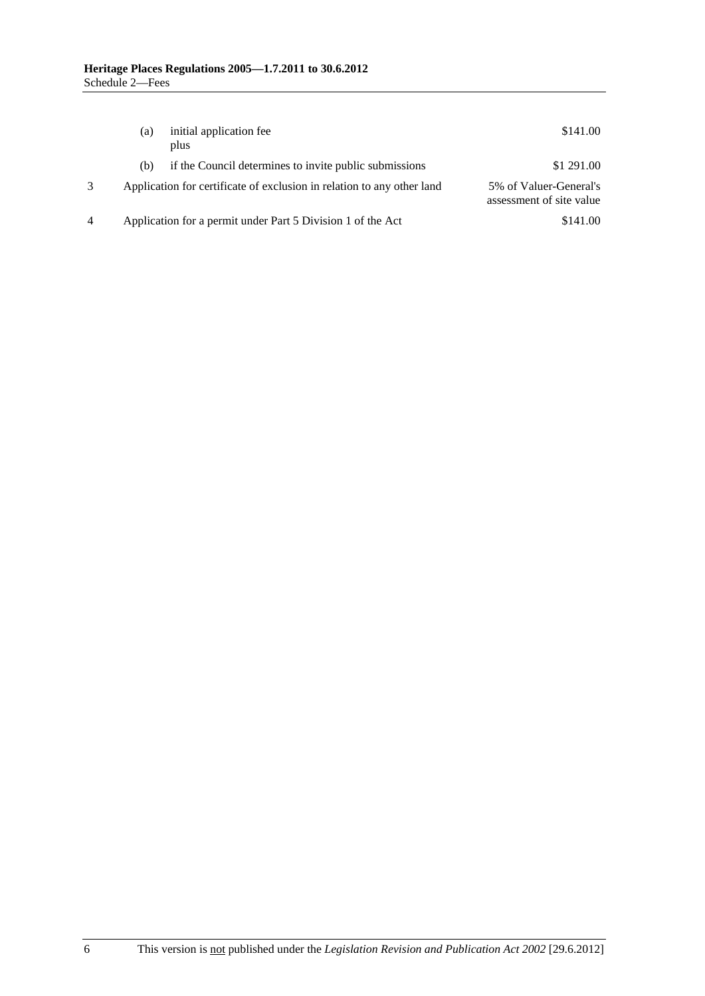|   | (a) | initial application fee<br>plus                                        | \$141.00                                           |
|---|-----|------------------------------------------------------------------------|----------------------------------------------------|
|   | (b) | if the Council determines to invite public submissions                 | \$1 291.00                                         |
|   |     | Application for certificate of exclusion in relation to any other land | 5% of Valuer-General's<br>assessment of site value |
| 4 |     | Application for a permit under Part 5 Division 1 of the Act            | \$141.00                                           |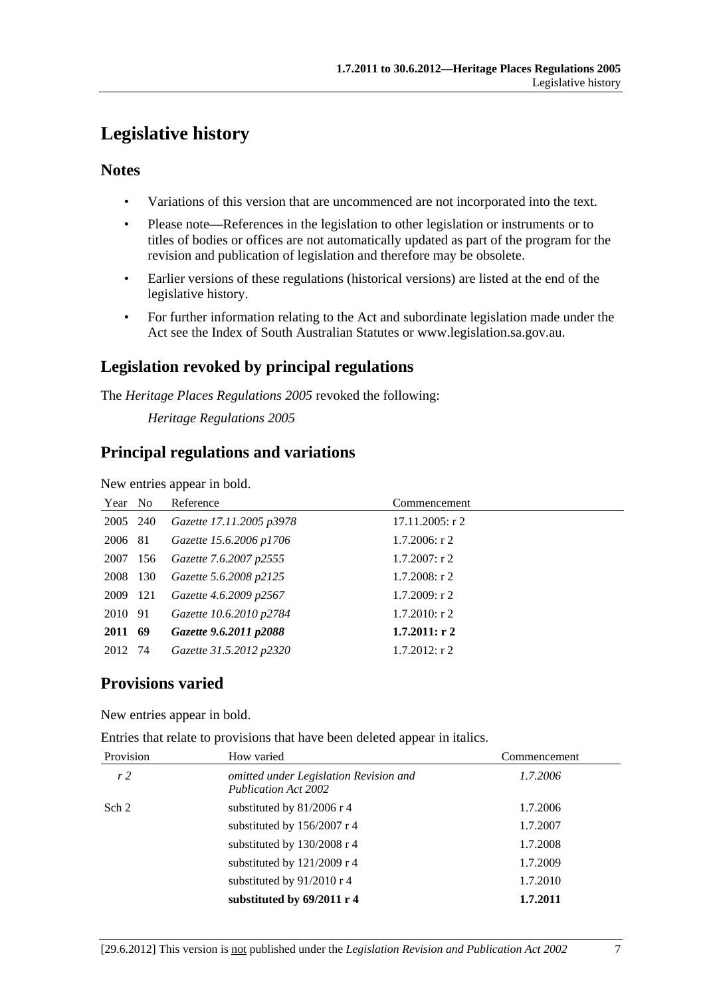# <span id="page-6-0"></span>**Legislative history**

### **Notes**

- Variations of this version that are uncommenced are not incorporated into the text.
- Please note—References in the legislation to other legislation or instruments or to titles of bodies or offices are not automatically updated as part of the program for the revision and publication of legislation and therefore may be obsolete.
- Earlier versions of these regulations (historical versions) are listed at the end of the legislative history.
- For further information relating to the Act and subordinate legislation made under the Act see the Index of South Australian Statutes or www.legislation.sa.gov.au.

# **Legislation revoked by principal regulations**

The *Heritage Places Regulations 2005* revoked the following:

*Heritage Regulations 2005*

## **Principal regulations and variations**

New entries appear in bold.

| Year No  |     | Reference                | Commencement       |
|----------|-----|--------------------------|--------------------|
| 2005 240 |     | Gazette 17.11.2005 p3978 | $17.11.2005$ : r 2 |
| 2006 81  |     | Gazette 15.6.2006 p1706  | $1.7.2006$ : r 2   |
| 2007     | 156 | Gazette 7.6.2007 p2555   | $1.7.2007:$ r 2    |
| 2008     | 130 | Gazette 5.6.2008 p2125   | $1.7.2008$ : r 2   |
| 2009 121 |     | Gazette 4.6.2009 p2567   | $1.7.2009$ : r 2   |
| 2010 91  |     | Gazette 10.6.2010 p2784  | $1.7.2010$ : r 2   |
| 2011 69  |     | Gazette 9.6.2011 p2088   | 1.7.2011: r2       |
| 2012 74  |     | Gazette 31.5.2012 p2320  | $1.7.2012$ : r 2   |

# **Provisions varied**

New entries appear in bold.

Entries that relate to provisions that have been deleted appear in italics.

| Provision      | How varied                                                            | Commencement |
|----------------|-----------------------------------------------------------------------|--------------|
| r <sub>2</sub> | omitted under Legislation Revision and<br><b>Publication Act 2002</b> | 1.7.2006     |
| Sch 2          | substituted by 81/2006 r 4                                            | 1.7.2006     |
|                | substituted by 156/2007 r 4                                           | 1.7.2007     |
|                | substituted by 130/2008 r 4                                           | 1.7.2008     |
|                | substituted by $121/2009$ r 4                                         | 1.7.2009     |
|                | substituted by 91/2010 r 4                                            | 1.7.2010     |
|                | substituted by 69/2011 r 4                                            | 1.7.2011     |